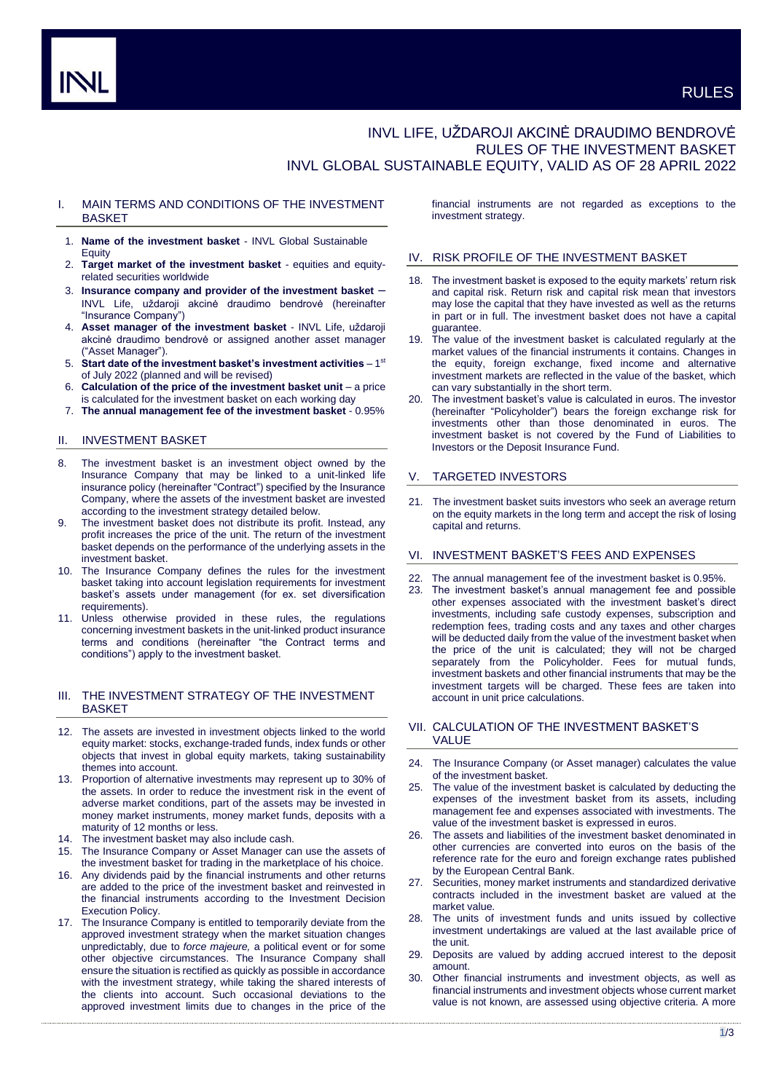# INVL LIFE, UŽDAROJI AKCINĖ DRAUDIMO BENDROVĖ RULES OF THE INVESTMENT BASKET INVL GLOBAL SUSTAINABLE EQUITY, VALID AS OF 28 APRIL 2022

## I. MAIN TERMS AND CONDITIONS OF THE INVESTMENT **BASKET**

- 1. **Name of the investment basket** INVL Global Sustainable Equity
- 2. **Target market of the investment basket** equities and equityrelated securities worldwide
- 3. **Insurance company and provider of the investment basket** INVL Life, uždaroji akcinė draudimo bendrovė (hereinafter "Insurance Company")
- 4. **Asset manager of the investment basket** INVL Life, uždaroji akcinė draudimo bendrovė or assigned another asset manager ("Asset Manager").
- 5. Start date of the investment basket's investment activities 1<sup>st</sup> of July 2022 (planned and will be revised)
- 6. **Calculation of the price of the investment basket unit** a price is calculated for the investment basket on each working day
- 7. **The annual management fee of the investment basket** 0.95%

## II. INVESTMENT BASKET

- 8. The investment basket is an investment object owned by the Insurance Company that may be linked to a unit-linked life insurance policy (hereinafter "Contract") specified by the Insurance Company, where the assets of the investment basket are invested according to the investment strategy detailed below.
- 9. The investment basket does not distribute its profit. Instead, any profit increases the price of the unit. The return of the investment basket depends on the performance of the underlying assets in the investment basket.
- 10. The Insurance Company defines the rules for the investment basket taking into account legislation requirements for investment basket's assets under management (for ex. set diversification requirements).
- 11. Unless otherwise provided in these rules, the regulations concerning investment baskets in the unit-linked product insurance terms and conditions (hereinafter "the Contract terms and conditions") apply to the investment basket.

## III. THE INVESTMENT STRATEGY OF THE INVESTMENT **BASKET**

- 12. The assets are invested in investment objects linked to the world equity market: stocks, exchange-traded funds, index funds or other objects that invest in global equity markets, taking sustainability themes into account.
- 13. Proportion of alternative investments may represent up to 30% of the assets. In order to reduce the investment risk in the event of adverse market conditions, part of the assets may be invested in money market instruments, money market funds, deposits with a maturity of 12 months or less.
- 14. The investment basket may also include cash.
- 15. The Insurance Company or Asset Manager can use the assets of the investment basket for trading in the marketplace of his choice.
- 16. Any dividends paid by the financial instruments and other returns are added to the price of the investment basket and reinvested in the financial instruments according to the Investment Decision Execution Policy.
- 17. The Insurance Company is entitled to temporarily deviate from the approved investment strategy when the market situation changes unpredictably, due to *force majeure,* a political event or for some other objective circumstances. The Insurance Company shall ensure the situation is rectified as quickly as possible in accordance with the investment strategy, while taking the shared interests of the clients into account. Such occasional deviations to the approved investment limits due to changes in the price of the

financial instruments are not regarded as exceptions to the investment strategy.

## IV. RISK PROFILE OF THE INVESTMENT BASKET

- 18. The investment basket is exposed to the equity markets' return risk and capital risk. Return risk and capital risk mean that investors may lose the capital that they have invested as well as the returns in part or in full. The investment basket does not have a capital guarantee.
- 19. The value of the investment basket is calculated regularly at the market values of the financial instruments it contains. Changes in the equity, foreign exchange, fixed income and alternative investment markets are reflected in the value of the basket, which can vary substantially in the short term.
- 20. The investment basket's value is calculated in euros. The investor (hereinafter "Policyholder") bears the foreign exchange risk for investments other than those denominated in euros. The investment basket is not covered by the Fund of Liabilities to Investors or the Deposit Insurance Fund.

## V. TARGETED INVESTORS

21. The investment basket suits investors who seek an average return on the equity markets in the long term and accept the risk of losing capital and returns.

## VI. INVESTMENT BASKET'S FEES AND EXPENSES

- The annual management fee of the investment basket is 0.95%.
- 23. The investment basket's annual management fee and possible other expenses associated with the investment basket's direct investments, including safe custody expenses, subscription and redemption fees, trading costs and any taxes and other charges will be deducted daily from the value of the investment basket when the price of the unit is calculated; they will not be charged separately from the Policyholder. Fees for mutual funds, investment baskets and other financial instruments that may be the investment targets will be charged. These fees are taken into account in unit price calculations.

## VII. CALCULATION OF THE INVESTMENT BASKET'S VALUE

- 24. The Insurance Company (or Asset manager) calculates the value of the investment basket.
- 25. The value of the investment basket is calculated by deducting the expenses of the investment basket from its assets, including management fee and expenses associated with investments. The value of the investment basket is expressed in euros.
- 26. The assets and liabilities of the investment basket denominated in other currencies are converted into euros on the basis of the reference rate for the euro and foreign exchange rates published by the European Central Bank.
- 27. Securities, money market instruments and standardized derivative contracts included in the investment basket are valued at the market value.
- 28. The units of investment funds and units issued by collective investment undertakings are valued at the last available price of the unit.
- 29. Deposits are valued by adding accrued interest to the deposit amount.
- 30. Other financial instruments and investment objects, as well as financial instruments and investment objects whose current market value is not known, are assessed using objective criteria. A more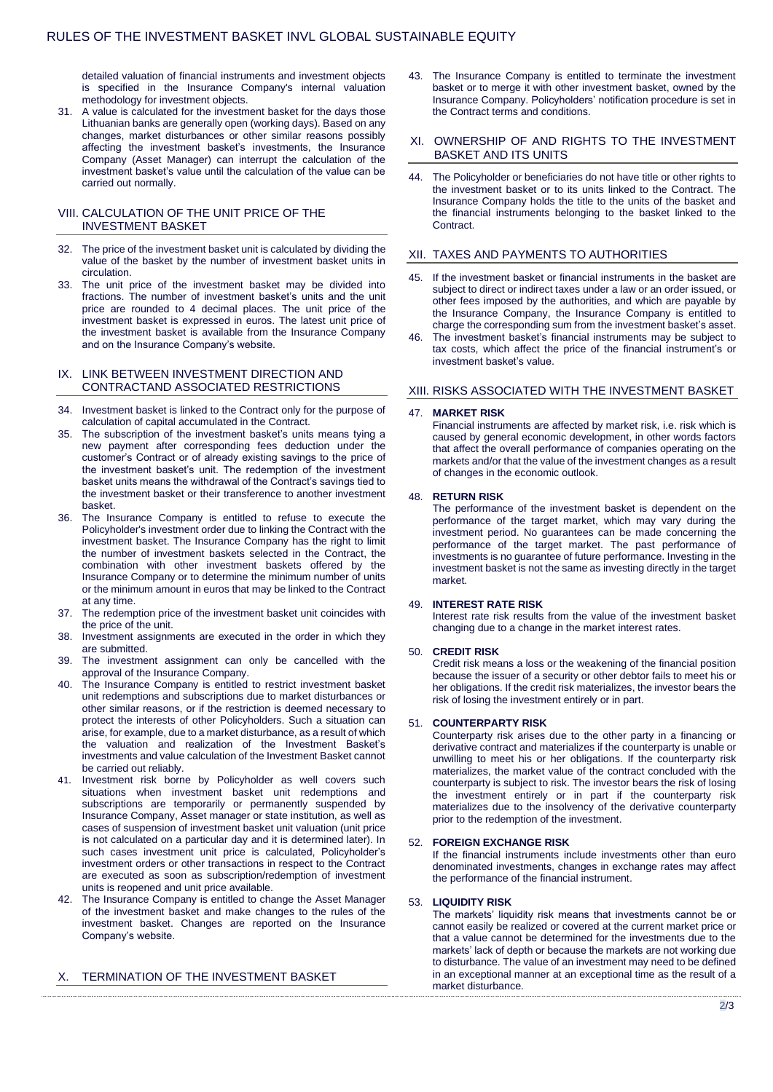detailed valuation of financial instruments and investment objects is specified in the Insurance Company's internal valuation methodology for investment objects.

31. A value is calculated for the investment basket for the days those Lithuanian banks are generally open (working days). Based on any changes, market disturbances or other similar reasons possibly affecting the investment basket's investments, the Insurance Company (Asset Manager) can interrupt the calculation of the investment basket's value until the calculation of the value can be carried out normally.

## VIII. CALCULATION OF THE UNIT PRICE OF THE INVESTMENT BASKET

- 32. The price of the investment basket unit is calculated by dividing the value of the basket by the number of investment basket units in circulation.
- 33. The unit price of the investment basket may be divided into fractions. The number of investment basket's units and the unit price are rounded to 4 decimal places. The unit price of the investment basket is expressed in euros. The latest unit price of the investment basket is available from the Insurance Company and on the Insurance Company's website.

## IX. LINK BETWEEN INVESTMENT DIRECTION AND CONTRACTAND ASSOCIATED RESTRICTIONS

- 34. Investment basket is linked to the Contract only for the purpose of calculation of capital accumulated in the Contract.
- 35. The subscription of the investment basket's units means tying a new payment after corresponding fees deduction under the customer's Contract or of already existing savings to the price of the investment basket's unit. The redemption of the investment basket units means the withdrawal of the Contract's savings tied to the investment basket or their transference to another investment basket.
- The Insurance Company is entitled to refuse to execute the Policyholder's investment order due to linking the Contract with the investment basket. The Insurance Company has the right to limit the number of investment baskets selected in the Contract, the combination with other investment baskets offered by the Insurance Company or to determine the minimum number of units or the minimum amount in euros that may be linked to the Contract at any time.
- 37. The redemption price of the investment basket unit coincides with the price of the unit.
- 38. Investment assignments are executed in the order in which they are submitted.
- 39. The investment assignment can only be cancelled with the approval of the Insurance Company.
- 40. The Insurance Company is entitled to restrict investment basket unit redemptions and subscriptions due to market disturbances or other similar reasons, or if the restriction is deemed necessary to protect the interests of other Policyholders. Such a situation can arise, for example, due to a market disturbance, as a result of which the valuation and realization of the Investment Basket's investments and value calculation of the Investment Basket cannot be carried out reliably.
- 41. Investment risk borne by Policyholder as well covers such situations when investment basket unit redemptions and subscriptions are temporarily or permanently suspended by Insurance Company, Asset manager or state institution, as well as cases of suspension of investment basket unit valuation (unit price is not calculated on a particular day and it is determined later). In such cases investment unit price is calculated, Policyholder's investment orders or other transactions in respect to the Contract are executed as soon as subscription/redemption of investment units is reopened and unit price available.
- 42. The Insurance Company is entitled to change the Asset Manager of the investment basket and make changes to the rules of the investment basket. Changes are reported on the Insurance Company's website.

## X. TERMINATION OF THE INVESTMENT BASKET

43. The Insurance Company is entitled to terminate the investment basket or to merge it with other investment basket, owned by the Insurance Company. Policyholders' notification procedure is set in the Contract terms and conditions.

## XI. OWNERSHIP OF AND RIGHTS TO THE INVESTMENT BASKET AND ITS UNITS

44. The Policyholder or beneficiaries do not have title or other rights to the investment basket or to its units linked to the Contract. The Insurance Company holds the title to the units of the basket and the financial instruments belonging to the basket linked to the Contract.

## XII. TAXES AND PAYMENTS TO AUTHORITIES

- If the investment basket or financial instruments in the basket are subject to direct or indirect taxes under a law or an order issued, or other fees imposed by the authorities, and which are payable by the Insurance Company, the Insurance Company is entitled to charge the corresponding sum from the investment basket's asset.
- 46. The investment basket's financial instruments may be subject to tax costs, which affect the price of the financial instrument's or investment basket's value.

## XIII. RISKS ASSOCIATED WITH THE INVESTMENT BASKET

#### 47. **MARKET RISK**

Financial instruments are affected by market risk, i.e. risk which is caused by general economic development, in other words factors that affect the overall performance of companies operating on the markets and/or that the value of the investment changes as a result of changes in the economic outlook.

#### 48. **RETURN RISK**

The performance of the investment basket is dependent on the performance of the target market, which may vary during the investment period. No guarantees can be made concerning the performance of the target market. The past performance of investments is no guarantee of future performance. Investing in the investment basket is not the same as investing directly in the target market.

## 49. **INTEREST RATE RISK**

Interest rate risk results from the value of the investment basket changing due to a change in the market interest rates.

## 50. **CREDIT RISK**

Credit risk means a loss or the weakening of the financial position because the issuer of a security or other debtor fails to meet his or her obligations. If the credit risk materializes, the investor bears the risk of losing the investment entirely or in part.

#### 51. **COUNTERPARTY RISK**

Counterparty risk arises due to the other party in a financing or derivative contract and materializes if the counterparty is unable or unwilling to meet his or her obligations. If the counterparty risk materializes, the market value of the contract concluded with the counterparty is subject to risk. The investor bears the risk of losing the investment entirely or in part if the counterparty risk materializes due to the insolvency of the derivative counterparty prior to the redemption of the investment.

## 52. **FOREIGN EXCHANGE RISK**

If the financial instruments include investments other than euro denominated investments, changes in exchange rates may affect the performance of the financial instrument.

### 53. **LIQUIDITY RISK**

The markets' liquidity risk means that investments cannot be or cannot easily be realized or covered at the current market price or that a value cannot be determined for the investments due to the markets' lack of depth or because the markets are not working due to disturbance. The value of an investment may need to be defined in an exceptional manner at an exceptional time as the result of a market disturbance.